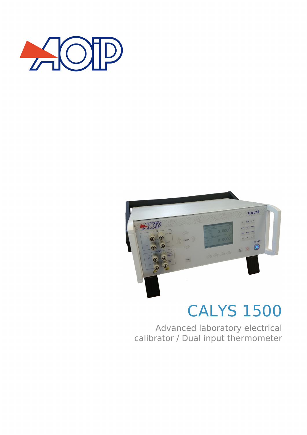



# CALYS 1500

Advanced laboratory electrical calibrator / Dual input thermometer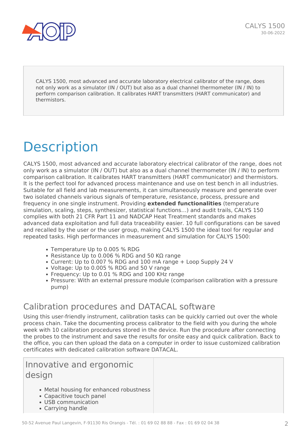

CALYS 1500, most advanced and accurate laboratory electrical calibrator of the range, does not only work as a simulator (IN / OUT) but also as a dual channel thermometer (IN / IN) to perform comparison calibration. It calibrates HART transmitters (HART communicator) and thermistors.

# **Description**

CALYS 1500, most advanced and accurate laboratory electrical calibrator of the range, does not only work as a simulator (IN / OUT) but also as a dual channel thermometer (IN / IN) to perform comparison calibration. It calibrates HART transmitters (HART communicator) and thermistors. It is the perfect tool for advanced process maintenance and use on test bench in all industries. Suitable for all field and lab measurements, it can simultaneously measure and generate over two isolated channels various signals of temperature, resistance, process, pressure and frequency in one single instrument. Providing **extended functionalities** (temperature simulation, scaling, steps, synthesizer, statistical functions…) and audit trails, CALYS 150 complies with both 21 CFR Part 11 and NADCAP Heat Treatment standards and makes advanced data exploitation and full data traceability easier. 10 full configurations can be saved and recalled by the user or the user group, making CALYS 1500 the ideal tool for regular and repeated tasks. High performances in measurement and simulation for CALYS 1500:

- Temperature Up to 0.005 % RDG
- Resistance Up to 0.006 % RDG and 50 KΩ range
- Current: Up to 0.007 % RDG and 100 mA range + Loop Supply 24 V
- Voltage: Up to 0.005 % RDG and 50 V range
- Frequency: Up to 0.01 % RDG and 100 KHz range
- Pressure: With an external pressure module (comparison calibration with a pressure pump)

## Calibration procedures and DATACAL software

Using this user-friendly instrument, calibration tasks can be quickly carried out over the whole process chain. Take the documenting process calibrator to the field with you during the whole week with 10 calibration procedures stored in the device. Run the procedure after connecting the probes to the instrument and save the results for onsite easy and quick calibration. Back to the office, you can then upload the data on a computer in order to issue customized calibration certificates with dedicated calibration software DATACAL.

## Innovative and ergonomic design

- Metal housing for enhanced robustness
- Capacitive touch panel
- USB communication
- Carrying handle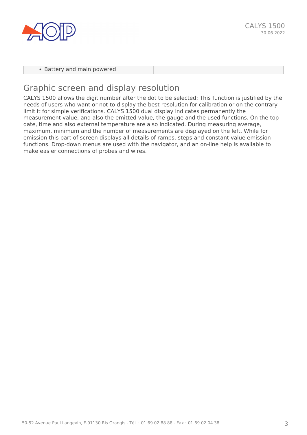

• Battery and main powered

## Graphic screen and display resolution

CALYS 1500 allows the digit number after the dot to be selected: This function is justified by the needs of users who want or not to display the best resolution for calibration or on the contrary limit it for simple verifications. CALYS 1500 dual display indicates permanently the measurement value, and also the emitted value, the gauge and the used functions. On the top date, time and also external temperature are also indicated. During measuring average, maximum, minimum and the number of measurements are displayed on the left. While for emission this part of screen displays all details of ramps, steps and constant value emission functions. Drop-down menus are used with the navigator, and an on-line help is available to make easier connections of probes and wires.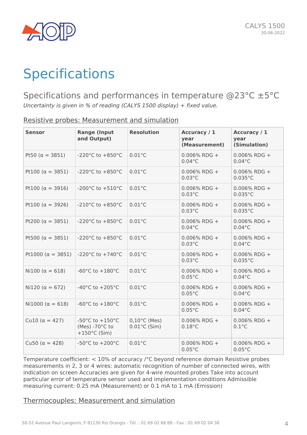

# **Specifications**

Specifications and performances in temperature @23°C ±5°C *Uncertainty is given in % of reading (CALYS 1500 display) + fixed value.*

| <b>Sensor</b>              | <b>Range (Input</b><br>and Output)                                                          | <b>Resolution</b>                                | Accuracy / 1<br>year<br>(Measurement) | Accuracy / 1<br>year<br>(Simulation) |
|----------------------------|---------------------------------------------------------------------------------------------|--------------------------------------------------|---------------------------------------|--------------------------------------|
| Pt50 ( $\alpha = 3851$ )   | -220 $^{\circ}$ C to +850 $^{\circ}$ C                                                      | $0.01^{\circ}$ C                                 | $0.006\%$ RDG +<br>$0.04$ °C          | $0.006\%$ RDG +<br>$0.04^{\circ}$ C  |
| Pt100 ( $\alpha = 3851$ )  | $-220^{\circ}$ C to $+850^{\circ}$ C                                                        | $0.01^{\circ}$ C                                 | $0.006\%$ RDG +<br>$0.03^{\circ}$ C   | $0.006\%$ RDG +<br>$0.035^{\circ}$ C |
| Pt100 ( $\alpha = 3916$ )  | -200 $^{\circ}$ C to +510 $^{\circ}$ C                                                      | $0.01^{\circ}$ C                                 | $0.006\%$ RDG +<br>$0.03^{\circ}$ C   | $0.006\%$ RDG +<br>$0.035^{\circ}$ C |
| Pt100 ( $\alpha = 3926$ )  | $-210^{\circ}$ C to $+850^{\circ}$ C                                                        | $0.01^{\circ}$ C                                 | $0.006\%$ RDG +<br>$0.03^{\circ}$ C   | $0.006\%$ RDG +<br>$0.035^{\circ}$ C |
| Pt200 ( $\alpha = 3851$ )  | $-220^{\circ}$ C to $+850^{\circ}$ C                                                        | $0.01^{\circ}$ C                                 | $0.006\%$ RDG +<br>$0.04$ °C          | $0.006\%$ RDG +<br>$0.04$ °C         |
| Pt500 ( $\alpha = 3851$ )  | -220 $^{\circ}$ C to +850 $^{\circ}$ C                                                      | $0.01^{\circ}$ C                                 | $0.006\%$ RDG +<br>$0.03^{\circ}$ C   | $0.006\%$ RDG +<br>$0.04$ °C         |
| Pt1000 ( $\alpha = 3851$ ) | -220 $^{\circ}$ C to +740 $^{\circ}$ C                                                      | $0.01^{\circ}$ C                                 | $0.006\%$ RDG +<br>$0.03^{\circ}$ C   | $0.006\%$ RDG +<br>$0.035^{\circ}$ C |
| $Ni100 (\alpha = 618)$     | -60 $^{\circ}$ C to +180 $^{\circ}$ C                                                       | $0.01^{\circ}$ C                                 | $0.006\%$ RDG +<br>$0.05^{\circ}$ C   | $0.006\%$ RDG +<br>$0.04$ °C         |
| $Ni120 (\alpha = 672)$     | -40°C to $+205$ °C                                                                          | $0.01^{\circ}$ C                                 | $0.006\%$ RDG +<br>$0.05^{\circ}$ C   | $0.006\%$ RDG +<br>$0.04$ °C         |
| Ni1000 ( $\alpha = 618$ )  | -60 $^{\circ}$ C to +180 $^{\circ}$ C                                                       | $0.01^{\circ}$ C                                 | $0.006\%$ RDG +<br>$0.05^{\circ}$ C   | $0.006\%$ RDG +<br>$0.04$ °C         |
| Cu10 ( $α = 427$ )         | -50 $^{\circ}$ C to +150 $^{\circ}$ C<br>(Mes) -70 $\degree$ C to<br>$+150^{\circ}$ C (Sim) | $0,10^{\circ}$ C (Mes)<br>$0.01^{\circ}$ C (Sim) | $0.006\%$ RDG +<br>$0.18^{\circ}$ C   | $0.006\%$ RDG +<br>$0.1^{\circ}$ C   |
| Cu50 ( $α = 428$ )         | -50°C to $+200$ °C                                                                          | $0.01^{\circ}$ C                                 | $0.006\%$ RDG +<br>$0.05^{\circ}$ C   | $0.006\%$ RDG +<br>$0.05^{\circ}$ C  |

Resistive probes: Measurement and simulation

Temperature coefficient: < 10% of accuracy /°C beyond reference domain Resistive probes measurements in 2, 3 or 4 wires: automatic recognition of number of connected wires, with indication on screen Accuracies are given for 4-wire mounted probes Take into account particular error of temperature sensor used and implementation conditions Admissible measuring current: 0.25 mA (Measurement) or 0.1 mA to 1 mA (Emission)

### Thermocouples: Measurement and simulation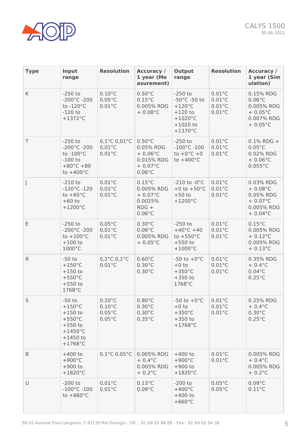

| <b>Type</b> | Input<br>range                                                                                                              | <b>Resolution</b>                                                            | <b>Accuracy /</b><br>1 year (Me<br>asurement)                                                       | Output<br>range                                                                                                    | <b>Resolution</b>                                                            | <b>Accuracy /</b><br>1 year (Sim<br>ulation)                                                      |
|-------------|-----------------------------------------------------------------------------------------------------------------------------|------------------------------------------------------------------------------|-----------------------------------------------------------------------------------------------------|--------------------------------------------------------------------------------------------------------------------|------------------------------------------------------------------------------|---------------------------------------------------------------------------------------------------|
| K           | $-250$ to<br>$-200^{\circ}$ C $-200$<br>to $-120^{\circ}$ C<br>$-120$ to<br>$+1372^{\circ}$ C                               | $0.10^{\circ}$ C<br>$0.05^{\circ}$ C<br>$0.01^{\circ}$ C                     | $0.50^{\circ}$ C<br>$0.15^{\circ}$ C<br>0.005% RDG<br>$+0.08$ °C                                    | $-250$ to<br>-50°C -50 to<br>$+120^{\circ}$ C<br>$+120$ to<br>$+1020^{\circ}$ C<br>$+1020$ to<br>$+1370^{\circ}$ C | $0.01^{\circ}$ C<br>$0.01^{\circ}$ C<br>$0.01^{\circ}$ C<br>$0.01^{\circ}$ C | 0.15% RDG<br>$0.06^{\circ}$ C<br>0.005% RDG<br>$+0.05\degree$ C<br>0.007% RDG<br>$+0.05\degree$ C |
| T           | $-250$ to<br>$-200^{\circ}$ C $-200$<br>to $-100^{\circ}$ C<br>$-100$ to<br>$+80^{\circ}$ C +80<br>to $+400^{\circ}$ C      | $0,1^{\circ}$ C $0,01^{\circ}$ C<br>$0,01^{\circ}$ C<br>$0.01^{\circ}$ C     | $0.50^{\circ}$ C<br>0.05% RDG<br>$+0.06^{\circ}$ C<br>0.015% RDG<br>$+ 0.07$ °C<br>$0.06^{\circ}$ C | $-250$ to<br>$-100^{\circ}$ C $-100$<br>to $+0^{\circ}$ C $+0$<br>to $+400^{\circ}$ C                              | $0.01^{\circ}$ C<br>$0.01^{\circ}$ C<br>$0.01^{\circ}$ C                     | $0.1\%$ RDG +<br>$0.05^{\circ}$ C<br>0.02% RDG<br>$+0.06^{\circ}$ C<br>$0.055^{\circ}$ C          |
| J           | $-210$ to<br>$-120^{\circ}$ C $-120$<br>to $+60^{\circ}$ C<br>$+60$ to<br>$+1200^{\circ}$ C                                 | $0.01^{\circ}$ C<br>$0.01^{\circ}$ C<br>$0.01^{\circ}$ C                     | $0.15^{\circ}$ C<br>0.005% RDG<br>$+ 0.07$ °C<br>0.0025%<br>$RDG +$<br>$0.06^{\circ}$ C             | -210 to $-0$ °C<br>+0 to $+50^{\circ}$ C<br>$+50$ to<br>$+1200^{\circ}$ C                                          | $0.01^{\circ}$ C<br>$0.01^{\circ}$ C<br>$0.01^{\circ}$ C                     | 0.03% RDG<br>$+0.08^{\circ}$ C<br>0.05% RDG<br>$+ 0.07$ °C<br>0.005% RDG<br>$+ 0.04$ °C           |
| E           | $-250$ to<br>$-200^{\circ}$ C $-200$<br>to $+100^{\circ}$ C<br>$+100$ to<br>1000°C                                          | $0.05^{\circ}$ C<br>$0,01^{\circ}$ C<br>$0.01^{\circ}$ C                     | $0.30^{\circ}$ C<br>$0.06^{\circ}$ C<br>0.005% RDG<br>$+0.05\degree$ C                              | $-250$ to<br>$+40^{\circ}$ C +40<br>to $+550^{\circ}$ C<br>$+550$ to<br>$+1000^{\circ}$ C                          | $0.01^{\circ}$ C<br>$0.01^{\circ}$ C<br>$0.01^{\circ}$ C                     | $0.15^{\circ}$ C<br>0.005% RDG<br>$+ 0.12$ °C<br>0.005% RDG<br>$+ 0.13$ °C                        |
| ${\sf R}$   | $-50$ to<br>$+150^{\circ}$ C<br>$+150$ to<br>$+550^{\circ}$ C<br>$+550$ to<br>1768°C                                        | $0,2^{\circ}$ C $0,1^{\circ}$ C<br>$0.01^{\circ}$ C                          | $0.60^{\circ}$ C<br>$0.30^{\circ}$ C<br>$0.30^{\circ}$ C                                            | $-50$ to $+0$ °C<br>$+0$ to<br>$+350^{\circ}$ C<br>$+350$ to<br>1768°C                                             | $0.01^{\circ}$ C<br>$0.01^{\circ}$ C<br>$0.01^{\circ}$ C                     | 0.35% RDG<br>$+0.4$ °C<br>$0.04$ °C<br>$0.25^{\circ}$ C                                           |
| S           | $-50$ to<br>$+150^{\circ}$ C<br>$+150$ to<br>$+550^{\circ}$ C<br>$+550$ to<br>$+1450^{\circ}$ C<br>$+1450$ to<br>$+1768$ °C | $0.20^{\circ}$ C<br>$0.10^{\circ}$ C<br>$0.05^{\circ}$ C<br>$0.05^{\circ}$ C | $0.80^{\circ}$ C<br>$0.30^{\circ}$ C<br>$0.30^{\circ}$ C<br>$0.35^{\circ}$ C                        | $-50$ to $+0$ °C<br>$+0$ to<br>$+350^{\circ}$ C<br>$+350$ to<br>$+1768$ °C                                         | $0.01^{\circ}$ C<br>$0.01^{\circ}$ C<br>$0.01^{\circ}$ C                     | 0.25% RDG<br>$+0.4$ °C<br>$0.30^{\circ}$ C<br>$0.25^{\circ}$ C                                    |
| B           | $+400$ to<br>$+900^{\circ}$ C<br>$+900$ to<br>$+1820^{\circ}$ C                                                             | $0.1^{\circ}$ C $0.05^{\circ}$ C                                             | 0.005% RDG<br>$+0.4$ °C<br>0.005% RDG<br>$+ 0.2$ °C                                                 | $+400$ to<br>$+900^{\circ}$ C<br>$+900$ to<br>$+1820^{\circ}$ C                                                    | $0.01^{\circ}$ C<br>$0.01^{\circ}$ C                                         | 0.005% RDG<br>$+0.4$ °C<br>0.005% RDG<br>$+0.2$ °C                                                |
| $\cup$      | $-200$ to<br>$-100^{\circ}$ C $-100$<br>to $+660^{\circ}$ C                                                                 | $0,01^{\circ}$ C<br>$0.01^{\circ}$ C                                         | $0.13^{\circ}$ C<br>$0.09^{\circ}$ C                                                                | $-200$ to<br>$+400^{\circ}$ C<br>$+400$ to<br>$+660^{\circ}$ C                                                     | $0.05^{\circ}$ C<br>$0.05^{\circ}$ C                                         | $0.09^{\circ}$ C<br>$0.11^{\circ}$ C                                                              |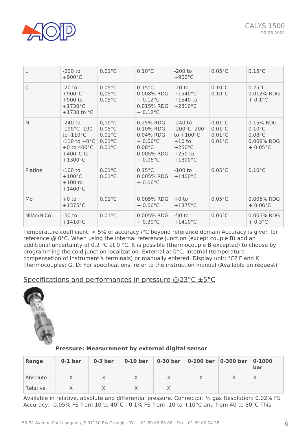

| L            | $-200$ to<br>$+900^{\circ}$ C                                                                                                                                 | $0.01^{\circ}$ C                                                                                 | $0.10^{\circ}$ C                                                                                                | $-200$ to<br>$+900^{\circ}$ C                                                                                                 | $0.05^{\circ}$ C                                                             | $0.15^{\circ}$ C                                                                     |
|--------------|---------------------------------------------------------------------------------------------------------------------------------------------------------------|--------------------------------------------------------------------------------------------------|-----------------------------------------------------------------------------------------------------------------|-------------------------------------------------------------------------------------------------------------------------------|------------------------------------------------------------------------------|--------------------------------------------------------------------------------------|
| $\mathsf{C}$ | $-20$ to<br>$+900^{\circ}$ C<br>$+900$ to<br>$+1730^{\circ}$ C<br>+1730 to $°C$                                                                               | $0.05^{\circ}$ C<br>$0,05^{\circ}$ C<br>$0.05^{\circ}$ C                                         | $0.15^{\circ}$ C<br>0.008% RDG<br>$+ 0.12$ °C<br>0.015% RDG<br>$+ 0.12$ °C                                      | $-20$ to<br>$+1540^{\circ}$ C<br>$+1540$ to<br>$+2310^{\circ}$ C                                                              | $0.10^{\circ}$ C<br>$0.10^{\circ}$ C                                         | $0.25^{\circ}$ C<br>0.012% RDG<br>$+0.1$ °C                                          |
| N            | $-240$ to<br>$-190^{\circ}$ C $-190^{\circ}$<br>to $-110^{\circ}$ C<br>$-110$ to $+0$ °C<br>+0 to $400^{\circ}$ C<br>$+400^{\circ}$ C to<br>$+1300^{\circ}$ C | $0,10^{\circ}$ C<br>$0.05^{\circ}$ C<br>$0.01^{\circ}$ C<br>$0.01^{\circ}$ C<br>$0.01^{\circ}$ C | 0.25% RDG<br>0.10% RDG<br>0.04% RDG<br>$+0.06^{\circ}$ C<br>$0.08^{\circ}$ C<br>0.005% RDG<br>$+0.06^{\circ}$ C | $-240$ to<br>$-200^{\circ}$ C $-200$<br>to $+100^{\circ}$ C<br>$+10$ to<br>$+250^{\circ}$ C<br>$+250$ to<br>$+1300^{\circ}$ C | $0.01^{\circ}$ C<br>$0.01^{\circ}$ C<br>$0.01^{\circ}$ C<br>$0.01^{\circ}$ C | 0.15% RDG<br>$0.10^{\circ}$ C<br>$0.08^{\circ}$ C<br>0.008% RDG<br>$+0.05^{\circ}$ C |
| Platine      | $-100$ to<br>$+100^{\circ}$ C<br>$+100$ to<br>$+1400^{\circ}$ C                                                                                               | $0.01^{\circ}$ C<br>$0.01^{\circ}$ C                                                             | $0.15^{\circ}$ C<br>0.005% RDG<br>$+0.06^{\circ}$ C                                                             | $-100$ to<br>$+1400^{\circ}$ C                                                                                                | $0.05^{\circ}$ C                                                             | $0.10^{\circ}$ C                                                                     |
| Mo           | $+0$ to<br>$+1375^{\circ}$ C                                                                                                                                  | $0.01^{\circ}$ C                                                                                 | 0.005% RDG<br>$+0.06^{\circ}$ C                                                                                 | $+0$ to<br>$+1375^{\circ}$ C                                                                                                  | $0.05^{\circ}$ C                                                             | 0.005% RDG<br>$+0.06^{\circ}$ C                                                      |
| NiMo/NiCo    | $-50$ to<br>$+1410^{\circ}$ C                                                                                                                                 | $0.01^{\circ}$ C                                                                                 | 0.005% RDG<br>$+0.30^{\circ}$ C                                                                                 | $-50$ to<br>$+1410^{\circ}$ C                                                                                                 | $0.05^{\circ}$ C                                                             | 0.005% RDG<br>$+0.3$ °C                                                              |

Temperature coefficient: < 5% of accuracy /°C beyond reference domain Accuracy is given for reference @ 0°C. When using the internal reference junction (except couple B) add an additional uncertainty of 0.2 °C at 0 °C. It is possible (thermocouple B excepted) to choose by programming the cold junction localization: External at 0°C, internal (temperature compensation of instrument's terminals) or manually entered. Display unit: °C? F and K. Thermocouples: G, D: For specifications, refer to the instruction manual (Available on request)

Specifications and performances in pressure @23°C ±5°C



**Pressure: Measurement by external digital sensor**

| Range    | $0-1$ bar | $0-3$ bar | $0-10$ bar | 0-30 bar | $ 0-100$ bar | $ 0-300$ bar | $0 - 1000$<br>bar |
|----------|-----------|-----------|------------|----------|--------------|--------------|-------------------|
| Absolute |           |           |            |          |              |              |                   |
| Relative |           |           |            |          |              |              |                   |

Available in relative, absolute and differential pressure. Connector: ¼ gas Resolution: 0.02% FS Accuracy: -0.05% FS from 10 to 40°C - 0.1% FS from -10 to +10°C and from 40 to 80°C This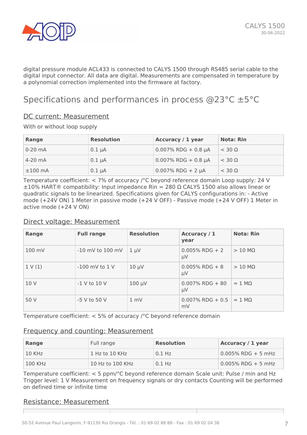

digital pressure module ACL433 is connected to CALYS 1500 through RS485 serial cable to the digital input connector. All data are digital. Measurements are compensated in temperature by a polynomial correction implemented into the firmware at factory.

# Specifications and performances in process @23°C ±5°C

#### DC current: Measurement

With or without loop supply

| Range     | <b>Resolution</b> | Accuracy / 1 year      | <b>Nota: Rin</b> |
|-----------|-------------------|------------------------|------------------|
| $0-20$ mA | $0.1 \mu A$       | $0.007\%$ RDG + 0.8 µA | $<$ 30 $\Omega$  |
| $4-20$ mA | $0.1 \mu A$       | $0.007\%$ RDG + 0.8 µA | $<$ 30 $\Omega$  |
| $±100$ mA | $0.1 \mu A$       | $0.007\%$ RDG + 2 µA   | $<$ 30 $\Omega$  |

Temperature coefficient: < 7% of accuracy /°C beyond reference domain Loop supply: 24 V  $\pm 10\%$  HART® compatibility: Input impedance Rin = 280  $\Omega$  CALYS 1500 also allows linear or quadratic signals to be linearized. Specifications given for CALYS configurations in: - Active mode (+24V ON) 1 Meter in passive mode (+24 V OFF) - Passive mode (+24 V OFF) 1 Meter in active mode (+24 V ON)

#### Direct voltage: Measurement

| Range  | <b>Full range</b>    | <b>Resolution</b> | Accuracy / 1<br>year          | <b>Nota: Rin</b>       |
|--------|----------------------|-------------------|-------------------------------|------------------------|
| 100 mV | $-10$ mV to $100$ mV | $1 \mu V$         | $0.005\%$ RDG + 2<br>$\mu$ V  | $> 10 \text{ M}\Omega$ |
| 1 V(1) | $-100$ mV to $1$ V   | $10 \mu V$        | $0.005\%$ RDG + 8<br>$\mu$ V  | $> 10$ M $\Omega$      |
| 10 V   | $-1$ V to 10 V       | $100 \mu V$       | $0.007\%$ RDG + 80<br>$\mu$ V | $= 1$ M $\Omega$       |
| 50 V   | -5 V to 50 V         | 1 mV              | $0.007\%$ RDG + 0.5<br>mV     | $= 1$ MO               |

Temperature coefficient: < 5% of accuracy /°C beyond reference domain

#### Frequency and counting: Measurement

| Range    | Full range       | <b>Resolution</b>  | Accuracy / 1 year     |
|----------|------------------|--------------------|-----------------------|
| $10$ KHz | 1 Hz to 10 KHz   | $0.1$ Hz           | $0.005\%$ RDG + 5 mHz |
| 100 KHz  | 10 Hz to 100 KHz | 0.1 H <sub>7</sub> | $0.005\%$ RDG + 5 mHz |

Temperature coefficient: < 5 ppm/°C beyond reference domain Scale unit: Pulse / min and Hz Trigger level: 1 V Measurement on frequency signals or dry contacts Counting will be performed on defined time or infinite time

#### Resistance: Measurement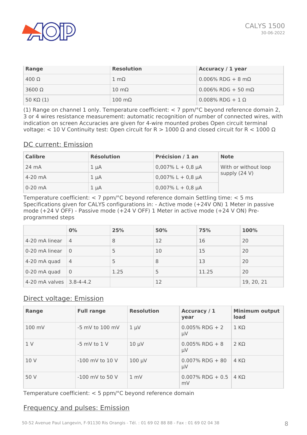

| Range           | <b>Resolution</b>     | <b>Accuracy / 1 year</b>      |
|-----------------|-----------------------|-------------------------------|
| $400 \Omega$    | $1 \text{ mA}$        | $0.006\%$ RDG + 8 mΩ          |
| 3600 $Ω$        | $10 \text{ m}\Omega$  | $0.006\%$ RDG + 50 m $\Omega$ |
| $50 K\Omega(1)$ | $100 \text{ m}\Omega$ | $0.008\%$ RDG + 1 $\Omega$    |

(1) Range on channel 1 only. Temperature coefficient: < 7 ppm/°C beyond reference domain 2, 3 or 4 wires resistance measurement: automatic recognition of number of connected wires, with indication on screen Accuracies are given for 4-wire mounted probes Open circuit terminal voltage: < 10 V Continuity test: Open circuit for R > 1000 Ω and closed circuit for R < 1000 Ω

#### DC current: Emission

| <b>Calibre</b> | <b>Résolution</b> | Précision / 1 an     | <b>Note</b>          |
|----------------|-------------------|----------------------|----------------------|
| 24 mA          | $1 \mu A$         | $0,007\%$ L + 0,8 µA | With or without loop |
| $4-20$ mA      | $1 \mu A$         | $0,007\%$ L + 0,8 µA | supply (24 V)        |
| $0-20$ mA      | $1 \mu A$         | $0,007\%$ L + 0,8 µA |                      |

Temperature coefficient: < 7 ppm/°C beyond reference domain Settling time: < 5 ms Specifications given for CALYS configurations in: - Active mode (+24V ON) 1 Meter in passive mode (+24 V OFF) - Passive mode (+24 V OFF) 1 Meter in active mode (+24 V ON) Preprogrammed steps

|                          | 0%             | 25%  | 50% | 75%   | 100%       |
|--------------------------|----------------|------|-----|-------|------------|
| 4-20 mA linear           | $\overline{4}$ | 8    | 12  | 16    | 20         |
| 0-20 mA linear           | $\Omega$       | 5    | 10  | 15    | 20         |
| 4-20 mA quad             | $\overline{4}$ | 5    | 8   | 13    | 20         |
| 0-20 mA quad             | $\Omega$       | 1.25 | 5   | 11.25 | 20         |
| 4-20 mA valves 3.8-4-4.2 |                |      | 12  |       | 19, 20, 21 |

### Direct voltage: Emission

| Range          | <b>Full range</b>   | <b>Resolution</b> | Accuracy / 1<br>year          | <b>Minimum output</b><br>load |
|----------------|---------------------|-------------------|-------------------------------|-------------------------------|
| 100 mV         | $-5$ mV to 100 mV   | $1 \mu V$         | $0.005\%$ RDG + 2<br>$\mu$ V  | $1 K\Omega$                   |
| 1 <sup>V</sup> | $-5$ mV to $1$ V    | $10 \mu V$        | $0.005\%$ RDG + 8<br>μV       | $2 K\Omega$                   |
| 10 V           | $-100$ mV to $10$ V | $100 \mu V$       | $0.007\%$ RDG + 80<br>$\mu$ V | $4 K\Omega$                   |
| 50 V           | $-100$ mV to 50 V   | 1 mV              | $0.007\%$ RDG + 0.5<br>mV     | 4 KQ                          |

Temperature coefficient: < 5 ppm/°C beyond reference domain

#### Frequency and pulses: Emission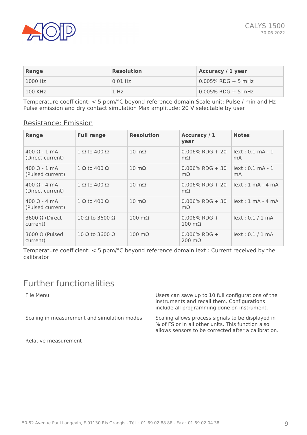

| Range     | <b>Resolution</b> | <b>Accuracy / 1 year</b> |
|-----------|-------------------|--------------------------|
| $1000$ Hz | $0.01$ Hz         | $0.005\%$ RDG + 5 mHz    |
| 100 KHz   | 1 H <sub>z</sub>  | $0.005\%$ RDG + 5 mHz    |

Temperature coefficient: < 5 ppm/°C beyond reference domain Scale unit: Pulse / min and Hz Pulse emission and dry contact simulation Max amplitude: 20 V selectable by user

#### Resistance: Emission

| Range                                           | <b>Full range</b>            | <b>Resolution</b>     | Accuracy / 1<br>year                     | <b>Notes</b>                        |
|-------------------------------------------------|------------------------------|-----------------------|------------------------------------------|-------------------------------------|
| $400 \Omega - 1$ mA<br>(Direct current)         | $1 \Omega$ to 400 $\Omega$   | $10 \text{ m}\Omega$  | $0.006\%$ RDG + 20<br>$m\Omega$          | $lext: 0.1mA - 1$<br>mA             |
| $400 \Omega - 1$ mA<br>(Pulsed current)         | $1 \Omega$ to 400 $\Omega$   | $10 \text{ m}\Omega$  | $0.006\%$ RDG + 30<br>$m\Omega$          | $lext: 0.1mA - 1$<br>m <sub>A</sub> |
| $400 \Omega - 4 \text{ mA}$<br>(Direct current) | $1 \Omega$ to 400 $\Omega$   | $10 \text{ m}\Omega$  | $0.006\%$ RDG + 20<br>$m\Omega$          | $lext: 1 mA - 4 MA$                 |
| $400 \Omega - 4 \text{ mA}$<br>(Pulsed current) | $1 \Omega$ to 400 $\Omega$   | $10 \text{ m}\Omega$  | $0.006\%$ RDG + 30<br>$m\Omega$          | $lext: 1 mA - 4 mA$                 |
| 3600 Ω (Direct<br>current)                      | $10$ Ω to 3600 Ω             | $100 \text{ m}\Omega$ | $0.006\%$ RDG +<br>$100 \text{ m}\Omega$ | lext: 0.1 / 1 mA                    |
| 3600 $\Omega$ (Pulsed<br>current)               | 10 $\Omega$ to 3600 $\Omega$ | $100 \text{ m}\Omega$ | $0.006\%$ RDG +<br>$200 \text{ m}\Omega$ | lext: 0.1 / 1 mA                    |

Temperature coefficient: < 5 ppm/°C beyond reference domain Iext : Current received by the calibrator

# Further functionalities

File Menu **Internal Configurations** Users can save up to 10 full configurations of the instruments and recall them. Configurations include all programming done on instrument. Scaling in measurement and simulation modes Scaling allows process signals to be displayed in % of FS or in all other units. This function also allows sensors to be corrected after a calibration.

Relative measurement